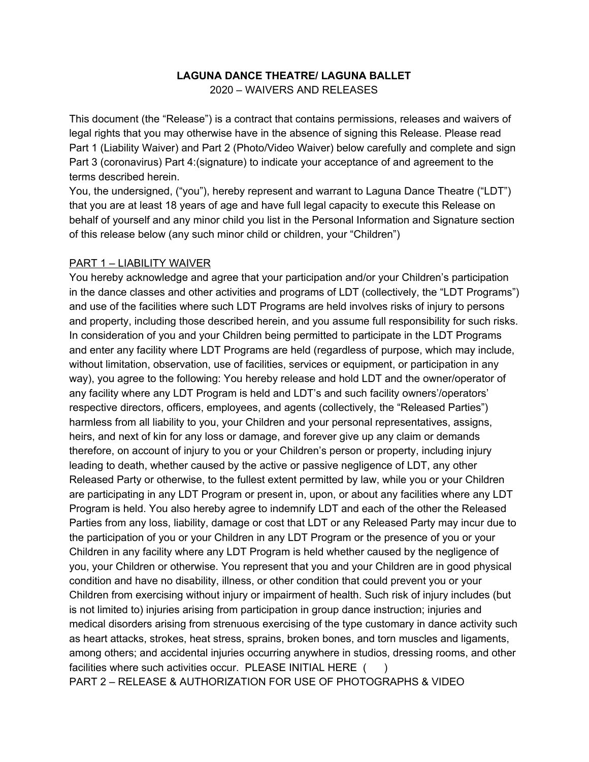## **LAGUNA DANCE THEATRE/ LAGUNA BALLET**

2020 – WAIVERS AND RELEASES

This document (the "Release") is a contract that contains permissions, releases and waivers of legal rights that you may otherwise have in the absence of signing this Release. Please read Part 1 (Liability Waiver) and Part 2 (Photo/Video Waiver) below carefully and complete and sign Part 3 (coronavirus) Part 4:(signature) to indicate your acceptance of and agreement to the terms described herein.

You, the undersigned, ("you"), hereby represent and warrant to Laguna Dance Theatre ("LDT") that you are at least 18 years of age and have full legal capacity to execute this Release on behalf of yourself and any minor child you list in the Personal Information and Signature section of this release below (any such minor child or children, your "Children")

## PART 1 – LIABILITY WAIVER

You hereby acknowledge and agree that your participation and/or your Children's participation in the dance classes and other activities and programs of LDT (collectively, the "LDT Programs") and use of the facilities where such LDT Programs are held involves risks of injury to persons and property, including those described herein, and you assume full responsibility for such risks. In consideration of you and your Children being permitted to participate in the LDT Programs and enter any facility where LDT Programs are held (regardless of purpose, which may include, without limitation, observation, use of facilities, services or equipment, or participation in any way), you agree to the following: You hereby release and hold LDT and the owner/operator of any facility where any LDT Program is held and LDT's and such facility owners'/operators' respective directors, officers, employees, and agents (collectively, the "Released Parties") harmless from all liability to you, your Children and your personal representatives, assigns, heirs, and next of kin for any loss or damage, and forever give up any claim or demands therefore, on account of injury to you or your Children's person or property, including injury leading to death, whether caused by the active or passive negligence of LDT, any other Released Party or otherwise, to the fullest extent permitted by law, while you or your Children are participating in any LDT Program or present in, upon, or about any facilities where any LDT Program is held. You also hereby agree to indemnify LDT and each of the other the Released Parties from any loss, liability, damage or cost that LDT or any Released Party may incur due to the participation of you or your Children in any LDT Program or the presence of you or your Children in any facility where any LDT Program is held whether caused by the negligence of you, your Children or otherwise. You represent that you and your Children are in good physical condition and have no disability, illness, or other condition that could prevent you or your Children from exercising without injury or impairment of health. Such risk of injury includes (but is not limited to) injuries arising from participation in group dance instruction; injuries and medical disorders arising from strenuous exercising of the type customary in dance activity such as heart attacks, strokes, heat stress, sprains, broken bones, and torn muscles and ligaments, among others; and accidental injuries occurring anywhere in studios, dressing rooms, and other facilities where such activities occur. PLEASE INITIAL HERE () PART 2 – RELEASE & AUTHORIZATION FOR USE OF PHOTOGRAPHS & VIDEO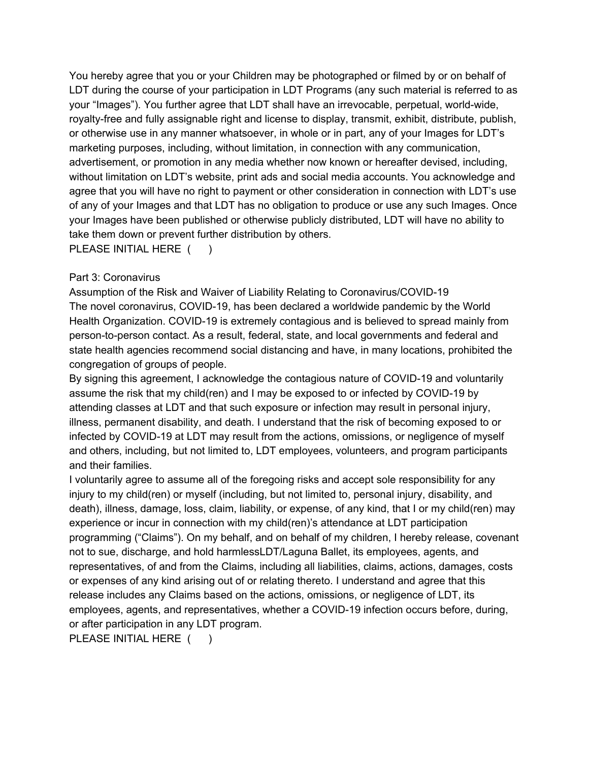You hereby agree that you or your Children may be photographed or filmed by or on behalf of LDT during the course of your participation in LDT Programs (any such material is referred to as your "Images"). You further agree that LDT shall have an irrevocable, perpetual, world-wide, royalty-free and fully assignable right and license to display, transmit, exhibit, distribute, publish, or otherwise use in any manner whatsoever, in whole or in part, any of your Images for LDT's marketing purposes, including, without limitation, in connection with any communication, advertisement, or promotion in any media whether now known or hereafter devised, including, without limitation on LDT's website, print ads and social media accounts. You acknowledge and agree that you will have no right to payment or other consideration in connection with LDT's use of any of your Images and that LDT has no obligation to produce or use any such Images. Once your Images have been published or otherwise publicly distributed, LDT will have no ability to take them down or prevent further distribution by others.

## PLEASE INITIAL HERE ( )

## Part 3: Coronavirus

Assumption of the Risk and Waiver of Liability Relating to Coronavirus/COVID-19 The novel coronavirus, COVID-19, has been declared a worldwide pandemic by the World Health Organization. COVID-19 is extremely contagious and is believed to spread mainly from person-to-person contact. As a result, federal, state, and local governments and federal and state health agencies recommend social distancing and have, in many locations, prohibited the congregation of groups of people.

By signing this agreement, I acknowledge the contagious nature of COVID-19 and voluntarily assume the risk that my child(ren) and I may be exposed to or infected by COVID-19 by attending classes at LDT and that such exposure or infection may result in personal injury, illness, permanent disability, and death. I understand that the risk of becoming exposed to or infected by COVID-19 at LDT may result from the actions, omissions, or negligence of myself and others, including, but not limited to, LDT employees, volunteers, and program participants and their families.

I voluntarily agree to assume all of the foregoing risks and accept sole responsibility for any injury to my child(ren) or myself (including, but not limited to, personal injury, disability, and death), illness, damage, loss, claim, liability, or expense, of any kind, that I or my child(ren) may experience or incur in connection with my child(ren)'s attendance at LDT participation programming ("Claims"). On my behalf, and on behalf of my children, I hereby release, covenant not to sue, discharge, and hold harmlessLDT/Laguna Ballet, its employees, agents, and representatives, of and from the Claims, including all liabilities, claims, actions, damages, costs or expenses of any kind arising out of or relating thereto. I understand and agree that this release includes any Claims based on the actions, omissions, or negligence of LDT, its employees, agents, and representatives, whether a COVID-19 infection occurs before, during, or after participation in any LDT program.

PLEASE INITIAL HERE ( )